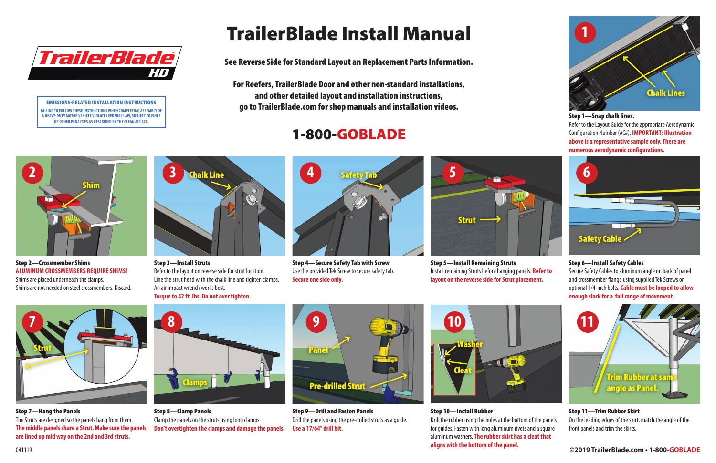#### Step 11—Trim Rubber Skirt

On the leading edges of the skirt, match the angle of the front panels and trim the skirts.

Step 1—Snap chalk lines.

Refer to the Layout Guide for the appropriate Aerodynamic Configuration Number (AC#). **IMPORTANT: Illustration above is a representative sample only. There are numerous aerodynamic configurations.**

Step 3—Install Struts Refer to the layout on reverse side for strut location. Line the strut head with the chalk line and tighten clamps. An air impact wrench works best. **Torque to 42 ft. lbs. Do not over tighten.**



Step 9—Drill and Fasten Panels Drill the panels using the pre-drilled struts as a guide. **Use a 17/64" drill bit.**



Step 4—Secure Safety Tab with Screw Use the provided Tek Screw to secure safety tab. **Secure one side only.**



Step 8—Clamp Panels Clamp the panels on the struts using long clamps. **Don't overtighten the clamps and damage the panels.**



Step 10—Install Rubber Drill the rubber using the holes at the bottom of the panels for guides. Fasten with long aluminum rivets and a square aluminum washers. **The rubber skirt has a cleat that aligns with the bottom of the panel.**

#### Step 6—Install Safety Cables

Secure Safety Cables to aluminum angle on back of panel and crossmember flange using supplied Tek Screws or optional 1/4-inch bolts. **Cable must be looped to allow enough slack for a full range of movement.**



Step 2—Crossmember Shims **ALUMINUM CROSSMEMBERS REQUIRE SHIMS!** Shims are placed underneath the clamps. Shims are not needed on steel crossmembers. Discard.



Step 5—Install Remaining Struts Install remaining Struts before hanging panels. **Refer to layout on the reverse side for Strut placement.**

See Reverse Side for Standard Layout an Replacement Parts Information.

For Reefers, TrailerBlade Door and other non-standard installations, and other detailed layout and installation instructions, go to TrailerBlade.com for shop manuals and installation videos.

# 1-800-GOBLADE

# TrailerBlade Install Manual



Step 7—Hang the Panels The Struts are designed so the panels hang from them. **The middle panels share a Strut. Make sure the panels are lined up mid way on the 2nd and 3rd struts.**







#### EMISSIONS-RELATED INSTALLATION INSTRUCTIONS



**FAILING TO FOLLOW THESE INSTRUCTIONS WHEN COMPLETING ASSEMBLY OF A HEAVY-DUTY MOTOR VEHICLE VIOLATES FEDERAL LAW, SUBJECT TO FINES OR OTHER PENALTIES AS DESCRIBED BY THE CLEAN AIR ACT.**